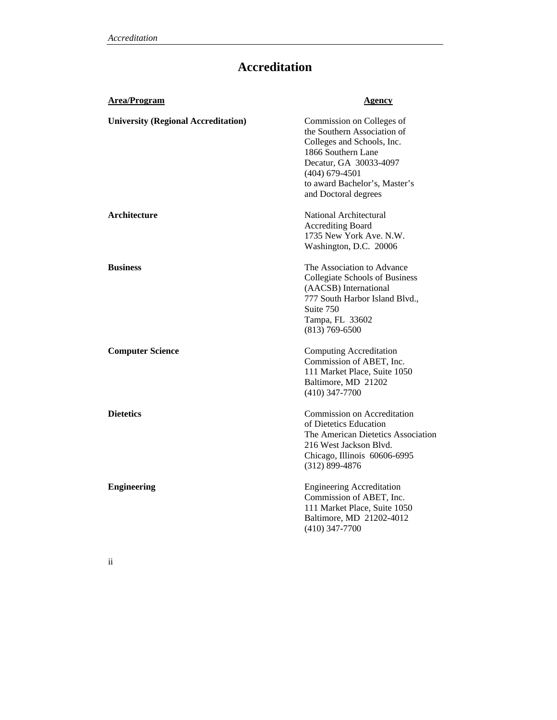## **Accreditation**

| <b>Area/Program</b>                        | <u>Agency</u>                                                                                                                                                                                                       |
|--------------------------------------------|---------------------------------------------------------------------------------------------------------------------------------------------------------------------------------------------------------------------|
| <b>University (Regional Accreditation)</b> | Commission on Colleges of<br>the Southern Association of<br>Colleges and Schools, Inc.<br>1866 Southern Lane<br>Decatur, GA 30033-4097<br>$(404)$ 679-4501<br>to award Bachelor's, Master's<br>and Doctoral degrees |
| Architecture                               | National Architectural<br><b>Accrediting Board</b><br>1735 New York Ave. N.W.<br>Washington, D.C. 20006                                                                                                             |
| <b>Business</b>                            | The Association to Advance<br>Collegiate Schools of Business<br>(AACSB) International<br>777 South Harbor Island Blvd.,<br>Suite 750<br>Tampa, FL 33602<br>$(813) 769 - 6500$                                       |
| <b>Computer Science</b>                    | <b>Computing Accreditation</b><br>Commission of ABET, Inc.<br>111 Market Place, Suite 1050<br>Baltimore, MD 21202<br>$(410)$ 347-7700                                                                               |
| <b>Dietetics</b>                           | Commission on Accreditation<br>of Dietetics Education<br>The American Dietetics Association<br>216 West Jackson Blvd.<br>Chicago, Illinois 60606-6995<br>$(312)$ 899-4876                                           |
| <b>Engineering</b>                         | <b>Engineering Accreditation</b><br>Commission of ABET, Inc.<br>111 Market Place, Suite 1050<br>Baltimore, MD 21202-4012<br>$(410)$ 347-7700                                                                        |

ii